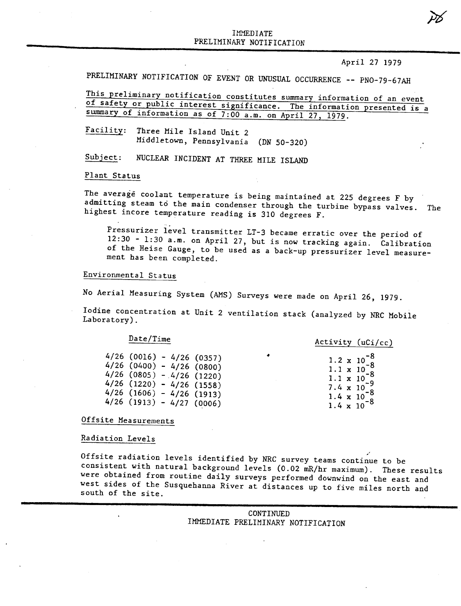# THULUITE I PRELIMINARY NOTIFICATION

#### April 27 1979

PRELIMINARY NOTIFICATION OF EVENT OR UNUSUAL OCCURRENCE -- PNO-79-67AH

This preliminary notification constitutes summary information of an event of safety or public interest significance. The information presented is a summary of information as of 7:00 a.m. on April 27, 1979.

Facility: Three Mile Island Unit 2 Middletown, Pennsylvania (DN 50-320)

Subject: NUCLEAR INCIDENT AT THREE MILE ISLAND

### Plant Status

The average coolant temperature is being maintained at 225 degrees F by admitting steam to the main condenser through the turbine bypass valves. The highest incore temperature reading is 310 degrees F.

.. . rressurizer level transmitter LT-3 became erratic over the period o 12:30 - 1:30 8.m. on April 27, but is now tracking again. Calibration of the Heise Gauge, to be used as a back-up pressurizer level measurement has been completed.

# Environmental Status

No Aerial Measuring System (AMS) Surveys were made on April 26, 1979.

Iodine concentration at Unit 2 ventilation stack (analyzed by NRC Mobile Laboratory).

### Date/Time

| $4/26$ (0016) - 4/26 (0357) |  |                |
|-----------------------------|--|----------------|
| $4/26$ (0400)               |  | $-4/26(0800)$  |
| $4/26$ (0805) - 4/26 (1220) |  |                |
| $4/26$ (1220) - 4/26 (1558) |  |                |
| 4/26 (1606)                 |  | $-4/26$ (1913) |
| 4/26 (1913) - 4/27 (0006)   |  |                |

Activity (uCi/cc)

•  $1.2 \times 10^{-8}$  $1.1 \times 10^{-6}$ <br> $-8$  $1.1 \times 10^{-6}$  $\frac{1.1 \times 10}{7.4 \times 10^{-9}}$  $1.4 \times 10^{-8}$  $1.4 \times 10^{-8}$ <br>1.4  $\times 10^{-8}$ 

Offsite Measurements

### Radiation Levels

Offsite radiation levels identified by NRC survey teams continue to be consistent with natural background levels (0.02 mR/hr maximum). These results were obtained from routine daily surveys performed downwind on the east and west sides of the Susquehanna River at distances up to five miles north and south of the site.

> CONTINUED IMMEDIATE PRELIMINARY NOTIFICATION